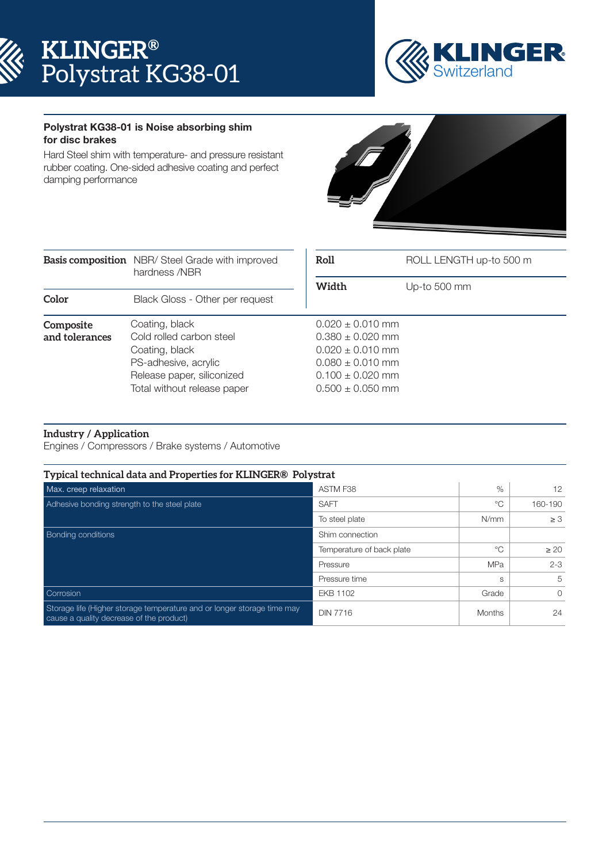



## Polystrat KG38-01 is Noise absorbing shim for disc brakes

Hard Steel shim with temperature- and pressure resistant rubber coating. One-sided adhesive coating and perfect damping performance



| Color          | <b>Basis composition</b> NBR/Steel Grade with improved<br>hardness /NBR<br>Black Gloss - Other per request | Roll                 | ROLL LENGTH up-to 500 m |  |
|----------------|------------------------------------------------------------------------------------------------------------|----------------------|-------------------------|--|
|                |                                                                                                            | Width                | Up-to 500 mm            |  |
|                |                                                                                                            |                      |                         |  |
| Composite      | Coating, black                                                                                             | $0.020 \pm 0.010$ mm |                         |  |
| and tolerances | Cold rolled carbon steel                                                                                   | $0.380 \pm 0.020$ mm |                         |  |
|                | Coating, black                                                                                             | $0.020 \pm 0.010$ mm |                         |  |
|                | PS-adhesive, acrylic                                                                                       | $0.080 \pm 0.010$ mm |                         |  |
|                | Release paper, siliconized                                                                                 | $0.100 \pm 0.020$ mm |                         |  |
|                | Total without release paper                                                                                | $0.500 \pm 0.050$ mm |                         |  |

# **Industry / Application**

Engines / Compressors / Brake systems / Automotive

| Typical technical data and Properties for KLINGER® Polystrat                                                        |                           |               |                 |  |
|---------------------------------------------------------------------------------------------------------------------|---------------------------|---------------|-----------------|--|
| Max. creep relaxation                                                                                               | ASTM F38                  | $\%$          | 12 <sup>°</sup> |  |
| Adhesive bonding strength to the steel plate                                                                        | <b>SAFT</b>               | $^{\circ}$ C  | 160-190         |  |
|                                                                                                                     | To steel plate            | N/mm          | $\geq 3$        |  |
| <b>Bonding conditions</b>                                                                                           | Shim connection           |               |                 |  |
|                                                                                                                     | Temperature of back plate | ℃             | $\geq 20$       |  |
|                                                                                                                     | Pressure                  | <b>MPa</b>    | $2 - 3$         |  |
|                                                                                                                     | Pressure time             | S             | 5               |  |
| Corrosion                                                                                                           | <b>EKB 1102</b>           | Grade         | $\Omega$        |  |
| Storage life (Higher storage temperature and or longer storage time may<br>cause a quality decrease of the product) | <b>DIN 7716</b>           | <b>Months</b> | 24              |  |